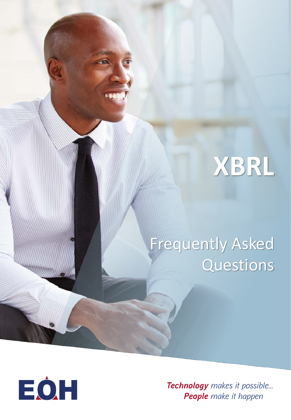# **XBRL**

## Frequently Asked **Questions**



*Technology makes it possible... People make it happen*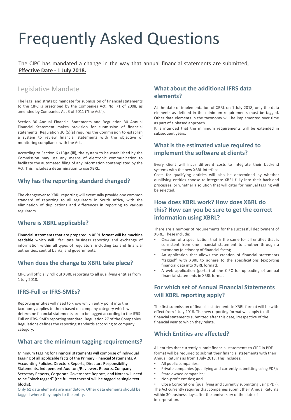### Frequently Asked Questions

The CIPC has mandated a change in the way that annual financial statements are submitted, **Effective Date - 1 July 2018.**

#### Legislative Mandate

The legal and strategic mandate for submission of financial statements to the CIPC is prescribed by the Companies Act, No. 71 of 2008, as amended by Companies Act 3 of 2011 ("the Act").

Section 30 Annual Financial Statements and Regulation 30 Annual Financial Statement makes provision for submission of financial statements. Regulation 30 (5)(a) requires the Commission to establish a system to review financial statements with the objective of monitoring compliance with the Act.

According to Section 6 (13)(a)(iii), the system to be established by the Commission may use any means of electronic communication to facilitate the automated filing of any information contemplated by the Act. This includes a determination to use XBRL.

#### **Why has the reporting standard changed?**

The changeover to XBRL reporting will eventually provide one common standard of reporting to all regulators in South Africa, with the elimination of duplications and differences in reporting to various regulators.

#### **Where is XBRL applicable?**

Financial statements that are prepared in XBRL format will be machine readable which will facilitate business reporting and exchange of information within all types of regulators, including tax and financial authorities, central banks, and governments.

#### **When does the change to XBRL take place?**

CIPC will officially roll out XBRL reporting to all qualifying entities from 1 July 2018.

#### **IFRS-Full or IFRS-SMEs?**

Reporting entities will need to know which entry point into the taxonomy applies to them based on company category which will determine financial statements are to be tagged according to the IFRS-Full or IFRS- SMEs reporting standard. Regulation 27 of the Companies Regulations defines the reporting standards according to company category.

#### **What are the minimum tagging requirements?**

Minimum tagging for Financial statements will comprise of individual tagging of all applicable facts of the Primary Financial Statements. All Accounting Policies, Directors Reports, Directors Responsibility Statements, Independent Auditors/Reviewers Reports, Company Secretary Reports, Corporate Governance Reports, and Notes will need to be "block tagged" (the full text thereof will be tagged as single text blocks).

Only 61 data elements are mandatory. Other data elements should be tagged where they apply to the entity.

#### **What about the additional IFRS data elements?**

At the date of implementation of XBRL on 1 July 2018, only the data elements as defined in the minimum requirements must be tagged. Other data elements in the taxonomy will be implemented over time as part of a phased approach.

It is intended that the minimum requirements will be extended in subsequent years.

#### **What is the estimated value required to implement the software at clients?**

Every client will incur different costs to integrate their backend systems with the new XBRL interface.

Costs for qualifying entities will also be determined by whether qualifying entities choose to integrate XBRL fully into their back-end processes, or whether a solution that will cater for manual tagging will be selected.

#### **How does XBRL work? How does XBRL do this? How can you be sure to get the correct information using XBRL?**

There are a number of requirements for the successful deployment of XBRL. These include:

- Creation of a specification that is the same for all entities that is consistent from one financial statement to another through a taxonomy (dictionary of financial facts);
- An application that allows the creation of financial statements "tagged" with XBRL to adhere to the specifications (exporting financial data into XBRL format);
- A web application (portal) at the CIPC for uploading of annual financial statements in XBRL format

#### **For which set of Annual Financial Statements will XBRL reporting apply?**

The first submission of financial statements in XBRL format will be with effect from 1 July 2018. The new reporting format will apply to all financial statements submitted after this date, irrespective of the financial year to which they relate.

#### **Which Entities are affected?**

All entities that currently submit financial statements to CIPC in PDF format will be required to submit their financial statements with their Annual Returns as from 1 July 2018. This includes:

- All public companies;
- Private companies (qualifying and currently submitting using PDF);
- State owned companies;
- Non-profit entities; and

• Close Corporations (qualifying and currently submitting using PDF). The Act currently requires that companies submit their Annual Returns within 30 business days after the anniversary of the date of incorporation.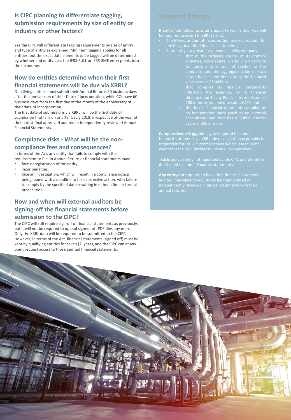#### **Is CIPC planning to differentiate tagging, submission requirements by size of entity or industry or other factors?**

Yes the CIPC will differentiate tagging requirements by size of entity and type of entity as explained. Minimum tagging applies for all entities, but the exact data elements to be tagged will be determined by whether and entity uses the IFRS-FULL or IFRS-SME entry points into the taxonomy.

#### **How do entities determine when their first financial statements will be due via XBRL?**

Qualifying entities must submit their Annual Returns 30 business days after the anniversary of their Date of Incorporation, while CCs have 60 business days from the first day of the month of the anniversary of their date of incorporation.

The first date of submissions via XBRL, will be the first date of submission that falls on or after 1 July 2018, irrespective of the year of their latest final approved audited or independently reviewed Annual Financial Statements.

#### **Compliance risks - What will be the noncompliance fees and consequences?**

In terms of the Act, any entity that fails to comply with the requirement to file an Annual Return or financial statements may: face deregistration of the entity;

- 
- incur penalties;
- face an investigation, which will result in a compliance notice being issued with a deadline to take corrective action, with failure to comply by the specified date resulting in either a fine or formal prosecution.

#### **How and when will external auditors be signing-off the financial statements before submission to the CIPC?**

The CIPC will still require sign-off of financial statements as previously, but it will not be required to upload signed- off PDF files any more. Only the XBRL data will be required to be submitted to the CIPC. However, in terms of the Act, financial statements (signed off) must be kept by qualifying entities for seven (7) years, and the CIPC can at any point request access to those audited financial statements.

- The Memorandum of Incorporation makes provision for
- - company, and the aggregate value of such
	-
	-

**Co-operatives** will **not** initially be required to submit financial statements via XBRL. However, this may possibly be

**Any entity not** required to have their financial statements